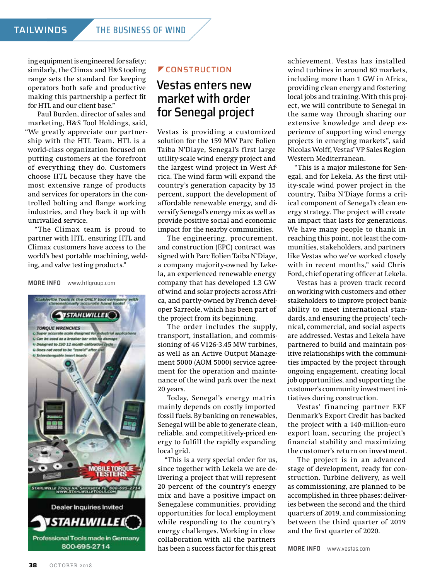ing equipment is engineered for safety; similarly, the Climax and H&S tooling range sets the standard for keeping operators both safe and productive making this partnership a perfect fit for HTL and our client base."

Paul Burden, director of sales and marketing, H&S Tool Holdings, said, "We greatly appreciate our partnership with the HTL Team. HTL is a world-class organization focused on putting customers at the forefront of everything they do. Customers choose HTL because they have the most extensive range of products and services for operators in the controlled bolting and flange working industries, and they back it up with unrivalled service.

"The Climax team is proud to partner with HTL, ensuring HTL and Climax customers have access to the world's best portable machining, welding, and valve testing products."

#### **MORE INFO** [www.htlgroup.com](http://www.htlgroup.com)



### **Z**CONSTRUCTION

## Vestas enters new market with order for Senegal project

Vestas is providing a customized solution for the 159 MW Parc Eolien Taiba N'Diaye, Senegal's first large utility-scale wind energy project and the largest wind project in West Africa. The wind farm will expand the country's generation capacity by 15 percent, support the development of affordable renewable energy, and diversify Senegal's energy mix as well as provide positive social and economic impact for the nearby communities.

The engineering, procurement, and construction (EPC) contract was signed with Parc Eolien Taiba N'Diaye, a company majority-owned by Lekela, an experienced renewable energy company that has developed 1.3 GW of wind and solar projects across Africa, and partly-owned by French developer Sarreole, which has been part of the project from its beginning.

The order includes the supply, transport, installation, and commissioning of 46 V126-3.45 MW turbines, as well as an Active Output Management 5000 (AOM 5000) service agreement for the operation and maintenance of the wind park over the next 20 years.

Today, Senegal's energy matrix mainly depends on costly imported fossil fuels. By banking on renewables, Senegal will be able to generate clean, reliable, and competitively-priced energy to fulfill the rapidly expanding local grid.

"This is a very special order for us, since together with Lekela we are delivering a project that will represent 20 percent of the country's energy mix and have a positive impact on Senegalese communities, providing opportunities for local employment while responding to the country's energy challenges. Working in close collaboration with all the partners has been a success factor for this great

achievement. Vestas has installed wind turbines in around 80 markets, including more than 1 GW in Africa, providing clean energy and fostering local jobs and training. With this project, we will contribute to Senegal in the same way through sharing our extensive knowledge and deep experience of supporting wind energy projects in emerging markets", said Nicolas Wolff, Vestas' VP Sales Region Western Mediterranean.

"This is a major milestone for Senegal, and for Lekela. As the first utility-scale wind power project in the country, Taiba N'Diaye forms a critical component of Senegal's clean energy strategy. The project will create an impact that lasts for generations. We have many people to thank in reaching this point, not least the communities, stakeholders, and partners like Vestas who we've worked closely with in recent months," said Chris Ford, chief operating officer at Lekela.

Vestas has a proven track record on working with customers and other stakeholders to improve project bankability to meet international standards, and ensuring the projects' technical, commercial, and social aspects are addressed. Vestas and Lekela have partnered to build and maintain positive relationships with the communities impacted by the project through ongoing engagement, creating local job opportunities, and supporting the customer's community investment initiatives during construction.

Vestas' financing partner EKF Denmark's Export Credit has backed the project with a 140-million-euro export loan, securing the project's financial stability and maximizing the customer's return on investment.

The project is in an advanced stage of development, ready for construction. Turbine delivery, as well as commissioning, are planned to be accomplished in three phases: deliveries between the second and the third quarters of 2019, and commissioning between the third quarter of 2019 and the first quarter of 2020.

**MORE INFO** [www.vestas.com](http://www.vestas.com)